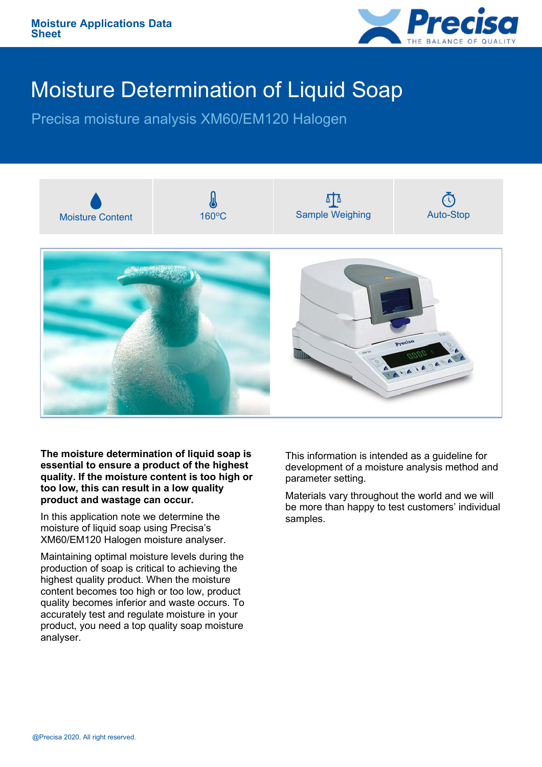

## Moisture Determination of Liquid Soap

Precisa moisture analysis XM60/EM120 Halogen



**The moisture determination of liquid soap is essential to ensure a product of the highest quality. If the moisture content is too high or too low, this can result in a low quality product and wastage can occur.**

In this application note we determine the moisture of liquid soap using Precisa's XM60/EM120 Halogen moisture analyser.

Maintaining optimal moisture levels during the production of soap is critical to achieving the highest quality product. When the moisture content becomes too high or too low, product quality becomes inferior and waste occurs. To accurately test and regulate moisture in your product, you need a top quality soap moisture analyser.

This information is intended as a guideline for development of a moisture analysis method and parameter setting.

Materials vary throughout the world and we will be more than happy to test customers' individual samples.